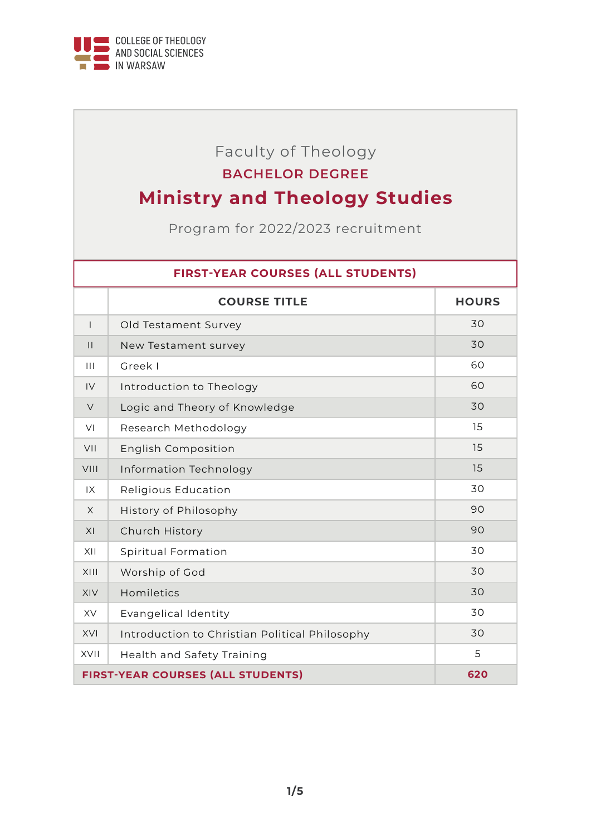

## Faculty of Theology

### **BACHELOR DEGREE**

# **Ministry and Theology Studies**

Program for 2022/2023 recruitment

#### **FIRST-YEAR COURSES (ALL STUDENTS)**

|                                          | <b>COURSE TITLE</b>                            | <b>HOURS</b> |
|------------------------------------------|------------------------------------------------|--------------|
| $\mathbf{I}$                             | Old Testament Survey                           | 30           |
| $\mathbf{H}$                             | New Testament survey                           | 30           |
| $\mathbf{III}$                           | Greek I                                        | 60           |
| IV                                       | Introduction to Theology                       | 60           |
| $\vee$                                   | Logic and Theory of Knowledge                  | 30           |
| VI                                       | Research Methodology                           | 15           |
| VII                                      | <b>English Composition</b>                     | 15           |
| VIII                                     | Information Technology                         | 15           |
| IX                                       | Religious Education                            | 30           |
| $\times$                                 | History of Philosophy                          | 90           |
| XI                                       | Church History                                 | 90           |
| XII                                      | Spiritual Formation                            | 30           |
| XIII                                     | Worship of God                                 | 30           |
| XIV                                      | Homiletics                                     | 30           |
| <b>XV</b>                                | Evangelical Identity                           | 30           |
| XVI                                      | Introduction to Christian Political Philosophy | 30           |
| XVII                                     | Health and Safety Training                     | 5            |
| <b>FIRST-YEAR COURSES (ALL STUDENTS)</b> |                                                | 620          |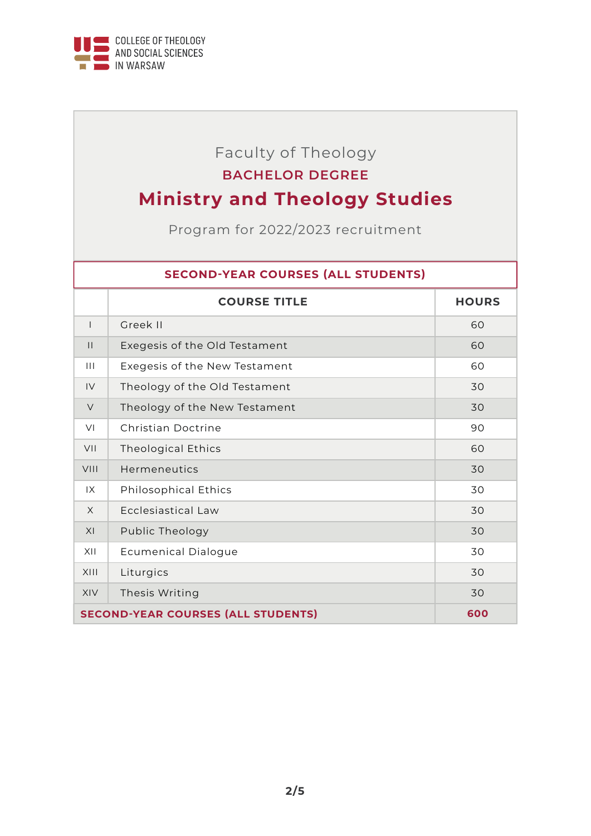

# Faculty of Theology

### **BACHELOR DEGREE**

# **Ministry and Theology Studies**

Program for 2022/2023 recruitment

#### **SECOND-YEAR COURSES (ALL STUDENTS)**

|                                           | <b>COURSE TITLE</b>           | <b>HOURS</b> |
|-------------------------------------------|-------------------------------|--------------|
| $\mathsf{I}$                              | Greek II                      | 60           |
| $\mathbf{H}$                              | Exegesis of the Old Testament | 60           |
| $\mathbf{III}$                            | Exegesis of the New Testament | 60           |
| IV                                        | Theology of the Old Testament | 30           |
| $\vee$                                    | Theology of the New Testament | 30           |
| VI                                        | Christian Doctrine            | 90           |
| VII                                       | <b>Theological Ethics</b>     | 60           |
| VIII                                      | Hermeneutics                  | 30           |
| 1X                                        | <b>Philosophical Ethics</b>   | 30           |
| $\times$                                  | Ecclesiastical Law            | 30           |
| XI                                        | Public Theology               | 30           |
| XII                                       | <b>Ecumenical Dialogue</b>    | 30           |
| XIII                                      | Liturgics                     | 30           |
| <b>XIV</b>                                | Thesis Writing                | 30           |
| <b>SECOND-YEAR COURSES (ALL STUDENTS)</b> |                               | 600          |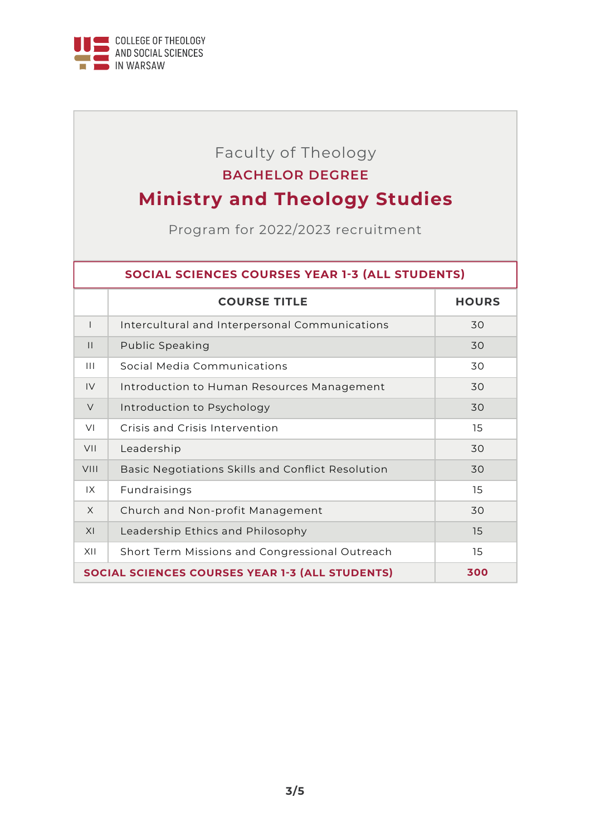

## Faculty of Theology **BACHELOR DEGREE**

# **Ministry and Theology Studies**

Program for 2022/2023 recruitment

#### **SOCIAL SCIENCES COURSES YEAR 1-3 (ALL STUDENTS)**

|                                                        | <b>COURSE TITLE</b>                               | <b>HOURS</b> |
|--------------------------------------------------------|---------------------------------------------------|--------------|
| $\overline{\phantom{a}}$                               | Intercultural and Interpersonal Communications    | 30           |
| $\mathbf{H}$                                           | Public Speaking                                   | 30           |
| $\mathbf{III}$                                         | Social Media Communications                       | 30           |
| IV                                                     | Introduction to Human Resources Management        | 30           |
| $\vee$                                                 | Introduction to Psychology                        | 30           |
| VI                                                     | Crisis and Crisis Intervention                    | 15           |
| VII                                                    | Leadership                                        | 30           |
| <b>VIII</b>                                            | Basic Negotiations Skills and Conflict Resolution | 30           |
| 1X                                                     | Fundraisings                                      | 15           |
| $\times$                                               | Church and Non-profit Management                  | 30           |
| XI                                                     | Leadership Ethics and Philosophy                  | 15           |
| XII                                                    | Short Term Missions and Congressional Outreach    | 15           |
| <b>SOCIAL SCIENCES COURSES YEAR 1-3 (ALL STUDENTS)</b> |                                                   | 300          |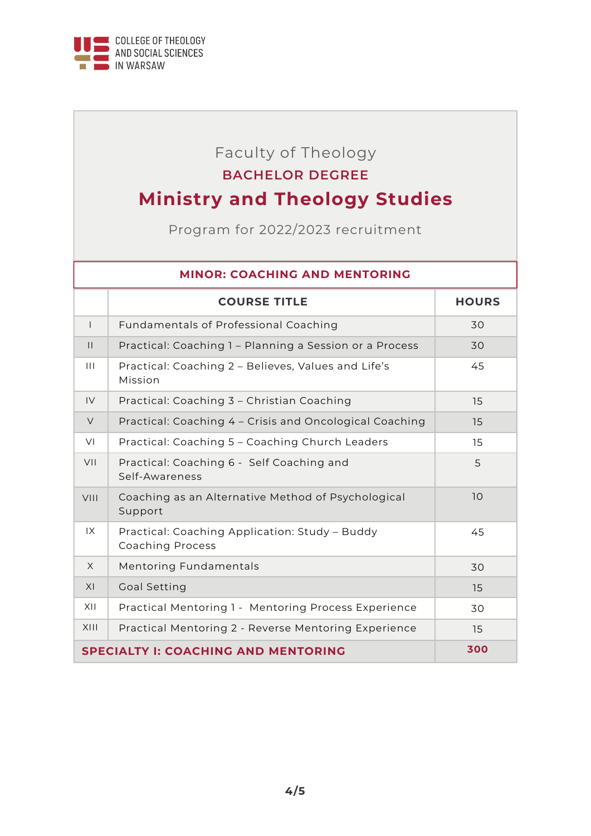

## Faculty of Theology **BACHELOR DEGREE**

# **Ministry and Theology Studies**

Program for 2022/2023 recruitment

| <b>MINOR: COACHING AND MENTORING</b>       |                                                                           |              |
|--------------------------------------------|---------------------------------------------------------------------------|--------------|
|                                            | <b>COURSE TITLE</b>                                                       | <b>HOURS</b> |
| $\mathbf{I}$                               | Fundamentals of Professional Coaching                                     | 30           |
| $\mathbf{H}$                               | Practical: Coaching 1 - Planning a Session or a Process                   | 30           |
| $\mathbf{III}$                             | Practical: Coaching 2 - Believes, Values and Life's<br>Mission            | 45           |
| IV                                         | Practical: Coaching 3 - Christian Coaching                                | 15           |
| $\vee$                                     | Practical: Coaching 4 - Crisis and Oncological Coaching                   | 15           |
| VI                                         | Practical: Coaching 5 - Coaching Church Leaders                           | 15           |
| VII                                        | Practical: Coaching 6 - Self Coaching and<br>Self-Awareness               | 5            |
| VIII                                       | Coaching as an Alternative Method of Psychological<br>Support             | 10           |
| 1X                                         | Practical: Coaching Application: Study - Buddy<br><b>Coaching Process</b> | 45           |
| $\times$                                   | <b>Mentoring Fundamentals</b>                                             | 30           |
| XI                                         | <b>Goal Setting</b>                                                       | 15           |
| XII                                        | Practical Mentoring 1 - Mentoring Process Experience                      | 30           |
| XIII                                       | Practical Mentoring 2 - Reverse Mentoring Experience                      | 15           |
| <b>SPECIALTY I: COACHING AND MENTORING</b> |                                                                           | 300          |